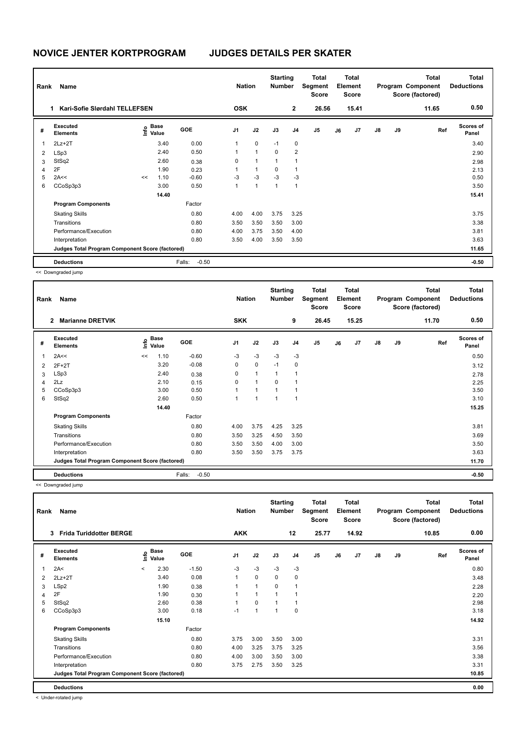| Rank | Name                                            |    | <b>Nation</b>                    |                   | <b>Starting</b><br><b>Number</b> |             | Total<br>Segment<br><b>Score</b> |              | <b>Total</b><br>Element<br><b>Score</b> |    |                | Total<br>Program Component<br>Score (factored) | <b>Total</b><br><b>Deductions</b> |       |                           |
|------|-------------------------------------------------|----|----------------------------------|-------------------|----------------------------------|-------------|----------------------------------|--------------|-----------------------------------------|----|----------------|------------------------------------------------|-----------------------------------|-------|---------------------------|
|      | Kari-Sofie Slørdahl TELLEFSEN<br>1.             |    |                                  |                   | <b>OSK</b>                       |             |                                  | $\mathbf{2}$ | 26.56                                   |    | 15.41          |                                                |                                   | 11.65 | 0.50                      |
| #    | Executed<br><b>Elements</b>                     |    | <b>Base</b><br>e Base<br>⊆ Value | GOE               | J1                               | J2          | J3                               | J4           | J <sub>5</sub>                          | J6 | J <sub>7</sub> | $\mathsf{J}8$                                  | J9                                | Ref   | <b>Scores of</b><br>Panel |
| 1    | $2Lz+2T$                                        |    | 3.40                             | 0.00              | 1                                | $\mathbf 0$ | $-1$                             | 0            |                                         |    |                |                                                |                                   |       | 3.40                      |
| 2    | LSp3                                            |    | 2.40                             | 0.50              |                                  | 1           | 0                                | 2            |                                         |    |                |                                                |                                   |       | 2.90                      |
| 3    | StSq2                                           |    | 2.60                             | 0.38              | 0                                | 1           | $\mathbf{1}$                     | 1            |                                         |    |                |                                                |                                   |       | 2.98                      |
| 4    | 2F                                              |    | 1.90                             | 0.23              |                                  | 1           | 0                                | 1            |                                         |    |                |                                                |                                   |       | 2.13                      |
| 5    | 2A<<                                            | << | 1.10                             | $-0.60$           | $-3$                             | $-3$        | $-3$                             | $-3$         |                                         |    |                |                                                |                                   |       | 0.50                      |
| 6    | CCoSp3p3                                        |    | 3.00                             | 0.50              | 1                                | 1           | 1                                | $\mathbf{1}$ |                                         |    |                |                                                |                                   |       | 3.50                      |
|      |                                                 |    | 14.40                            |                   |                                  |             |                                  |              |                                         |    |                |                                                |                                   |       | 15.41                     |
|      | <b>Program Components</b>                       |    |                                  | Factor            |                                  |             |                                  |              |                                         |    |                |                                                |                                   |       |                           |
|      | <b>Skating Skills</b>                           |    |                                  | 0.80              | 4.00                             | 4.00        | 3.75                             | 3.25         |                                         |    |                |                                                |                                   |       | 3.75                      |
|      | Transitions                                     |    |                                  | 0.80              | 3.50                             | 3.50        | 3.50                             | 3.00         |                                         |    |                |                                                |                                   |       | 3.38                      |
|      | Performance/Execution                           |    |                                  | 0.80              | 4.00                             | 3.75        | 3.50                             | 4.00         |                                         |    |                |                                                |                                   |       | 3.81                      |
|      | Interpretation                                  |    |                                  | 0.80              | 3.50                             | 4.00        | 3.50                             | 3.50         |                                         |    |                |                                                |                                   |       | 3.63                      |
|      | Judges Total Program Component Score (factored) |    |                                  |                   |                                  |             |                                  |              |                                         |    |                |                                                |                                   |       | 11.65                     |
|      | <b>Deductions</b>                               |    |                                  | $-0.50$<br>Falls: |                                  |             |                                  |              |                                         |    |                |                                                |                                   |       | $-0.50$                   |

<< Downgraded jump

| Rank        | Name<br><b>Marianne DRETVIK</b><br>2            |    |                           |                   | <b>Nation</b>  |              | <b>Starting</b><br><b>Number</b> |                | <b>Total</b><br>Segment<br>Score |    | Total<br>Element<br><b>Score</b> |               |    | Total<br>Program Component<br>Score (factored) | Total<br><b>Deductions</b> |
|-------------|-------------------------------------------------|----|---------------------------|-------------------|----------------|--------------|----------------------------------|----------------|----------------------------------|----|----------------------------------|---------------|----|------------------------------------------------|----------------------------|
|             |                                                 |    |                           |                   | <b>SKK</b>     |              |                                  | 9              | 26.45                            |    | 15.25                            |               |    | 11.70                                          | 0.50                       |
| #           | Executed<br><b>Elements</b>                     |    | Base<br>e Base<br>⊆ Value | <b>GOE</b>        | J <sub>1</sub> | J2           | J3                               | J <sub>4</sub> | J5                               | J6 | J7                               | $\mathsf{J}8$ | J9 | Ref                                            | <b>Scores of</b><br>Panel  |
| $\mathbf 1$ | 2A<<                                            | << | 1.10                      | $-0.60$           | $-3$           | $-3$         | $-3$                             | $-3$           |                                  |    |                                  |               |    |                                                | 0.50                       |
| 2           | $2F+2T$                                         |    | 3.20                      | $-0.08$           | 0              | 0            | $-1$                             | 0              |                                  |    |                                  |               |    |                                                | 3.12                       |
| 3           | LSp3                                            |    | 2.40                      | 0.38              | 0              | $\mathbf{1}$ | 1                                | 1              |                                  |    |                                  |               |    |                                                | 2.78                       |
| 4           | 2Lz                                             |    | 2.10                      | 0.15              | 0              | $\mathbf{1}$ | $\Omega$                         | $\overline{1}$ |                                  |    |                                  |               |    |                                                | 2.25                       |
| 5           | CCoSp3p3                                        |    | 3.00                      | 0.50              | 1              | 1            | $\overline{1}$                   | 1              |                                  |    |                                  |               |    |                                                | 3.50                       |
| 6           | StSq2                                           |    | 2.60                      | 0.50              | 1              | 1            | 1                                | $\overline{1}$ |                                  |    |                                  |               |    |                                                | 3.10                       |
|             |                                                 |    | 14.40                     |                   |                |              |                                  |                |                                  |    |                                  |               |    |                                                | 15.25                      |
|             | <b>Program Components</b>                       |    |                           | Factor            |                |              |                                  |                |                                  |    |                                  |               |    |                                                |                            |
|             | <b>Skating Skills</b>                           |    |                           | 0.80              | 4.00           | 3.75         | 4.25                             | 3.25           |                                  |    |                                  |               |    |                                                | 3.81                       |
|             | Transitions                                     |    |                           | 0.80              | 3.50           | 3.25         | 4.50                             | 3.50           |                                  |    |                                  |               |    |                                                | 3.69                       |
|             | Performance/Execution                           |    |                           | 0.80              | 3.50           | 3.50         | 4.00                             | 3.00           |                                  |    |                                  |               |    |                                                | 3.50                       |
|             | Interpretation                                  |    |                           | 0.80              | 3.50           | 3.50         | 3.75                             | 3.75           |                                  |    |                                  |               |    |                                                | 3.63                       |
|             | Judges Total Program Component Score (factored) |    |                           |                   |                |              |                                  |                |                                  |    |                                  |               |    |                                                | 11.70                      |
|             | <b>Deductions</b>                               |    |                           | $-0.50$<br>Falls: |                |              |                                  |                |                                  |    |                                  |               |    |                                                | $-0.50$                    |

<< Downgraded jump

| Rank | Name<br><b>Frida Turiddotter BERGE</b><br>3     |         |                       |            | <b>Nation</b>  |                | <b>Starting</b><br><b>Number</b> |                | Total<br>Segment<br><b>Score</b> |    | Total<br><b>Element</b><br><b>Score</b> |    |    | Total<br>Program Component<br>Score (factored) | <b>Total</b><br><b>Deductions</b> |
|------|-------------------------------------------------|---------|-----------------------|------------|----------------|----------------|----------------------------------|----------------|----------------------------------|----|-----------------------------------------|----|----|------------------------------------------------|-----------------------------------|
|      |                                                 |         |                       |            | <b>AKK</b>     |                |                                  | 12             | 25.77                            |    | 14.92                                   |    |    | 10.85                                          | 0.00                              |
| #    | <b>Executed</b><br><b>Elements</b>              |         | $\sum_{i=1}^{n}$ Base | <b>GOE</b> | J <sub>1</sub> | J2             | J3                               | J <sub>4</sub> | J5                               | J6 | J7                                      | J8 | J9 | Ref                                            | Scores of<br>Panel                |
| 1    | 2A<                                             | $\,<\,$ | 2.30                  | $-1.50$    | $-3$           | $-3$           | -3                               | $-3$           |                                  |    |                                         |    |    |                                                | 0.80                              |
| 2    | $2Lz+2T$                                        |         | 3.40                  | 0.08       |                | 0              | 0                                | 0              |                                  |    |                                         |    |    |                                                | 3.48                              |
| 3    | LSp2                                            |         | 1.90                  | 0.38       |                | $\mathbf{1}$   | 0                                | $\overline{1}$ |                                  |    |                                         |    |    |                                                | 2.28                              |
| 4    | 2F                                              |         | 1.90                  | 0.30       |                | $\mathbf{1}$   |                                  |                |                                  |    |                                         |    |    |                                                | 2.20                              |
| 5    | StSq2                                           |         | 2.60                  | 0.38       |                | 0              |                                  |                |                                  |    |                                         |    |    |                                                | 2.98                              |
| 6    | CCoSp3p3                                        |         | 3.00                  | 0.18       | $-1$           | $\overline{1}$ |                                  | 0              |                                  |    |                                         |    |    |                                                | 3.18                              |
|      |                                                 |         | 15.10                 |            |                |                |                                  |                |                                  |    |                                         |    |    |                                                | 14.92                             |
|      | <b>Program Components</b>                       |         |                       | Factor     |                |                |                                  |                |                                  |    |                                         |    |    |                                                |                                   |
|      | <b>Skating Skills</b>                           |         |                       | 0.80       | 3.75           | 3.00           | 3.50                             | 3.00           |                                  |    |                                         |    |    |                                                | 3.31                              |
|      | Transitions                                     |         |                       | 0.80       | 4.00           | 3.25           | 3.75                             | 3.25           |                                  |    |                                         |    |    |                                                | 3.56                              |
|      | Performance/Execution                           |         |                       | 0.80       | 4.00           | 3.00           | 3.50                             | 3.00           |                                  |    |                                         |    |    |                                                | 3.38                              |
|      | Interpretation                                  |         |                       | 0.80       | 3.75           | 2.75           | 3.50                             | 3.25           |                                  |    |                                         |    |    |                                                | 3.31                              |
|      | Judges Total Program Component Score (factored) |         |                       |            |                |                |                                  |                |                                  |    |                                         |    |    |                                                | 10.85                             |
|      | <b>Deductions</b>                               |         |                       |            |                |                |                                  |                |                                  |    |                                         |    |    |                                                | 0.00                              |

< Under-rotated jump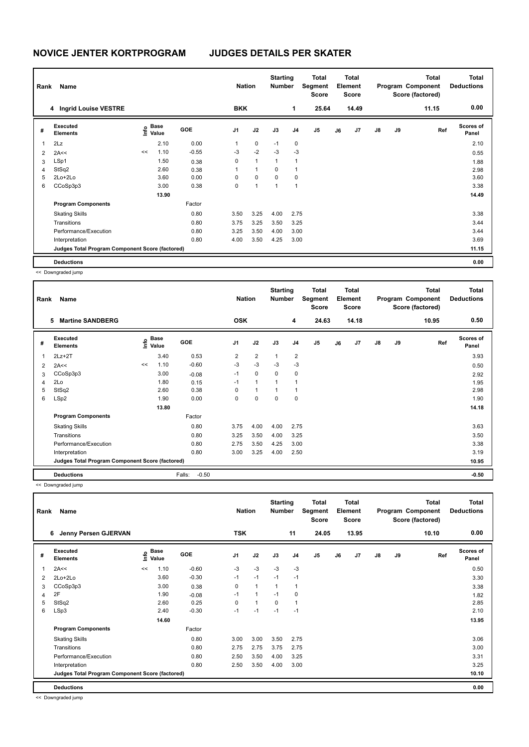|   | Rank<br>Name<br>4 Ingrid Louise VESTRE          |    |                                  | <b>Nation</b> |                | <b>Starting</b><br><b>Number</b> |              | Total<br>Segment<br><b>Score</b> |                | <b>Total</b><br>Element<br><b>Score</b> |                |               | Total<br>Program Component<br>Score (factored) | <b>Total</b><br><b>Deductions</b> |                    |
|---|-------------------------------------------------|----|----------------------------------|---------------|----------------|----------------------------------|--------------|----------------------------------|----------------|-----------------------------------------|----------------|---------------|------------------------------------------------|-----------------------------------|--------------------|
|   |                                                 |    |                                  |               | <b>BKK</b>     |                                  |              | 1                                | 25.64          |                                         | 14.49          |               |                                                | 11.15                             | 0.00               |
| # | Executed<br><b>Elements</b>                     |    | <b>Base</b><br>e Base<br>⊑ Value | <b>GOE</b>    | J <sub>1</sub> | J2                               | J3           | J <sub>4</sub>                   | J <sub>5</sub> | J6                                      | J <sub>7</sub> | $\mathsf{J}8$ | J9                                             | Ref                               | Scores of<br>Panel |
| 1 | 2Lz                                             |    | 2.10                             | 0.00          | 1              | $\mathbf 0$                      | $-1$         | 0                                |                |                                         |                |               |                                                |                                   | 2.10               |
| 2 | 2A<<                                            | << | 1.10                             | $-0.55$       | $-3$           | $-2$                             | $-3$         | $-3$                             |                |                                         |                |               |                                                |                                   | 0.55               |
| 3 | LSp1                                            |    | 1.50                             | 0.38          | 0              | $\mathbf{1}$                     | $\mathbf{1}$ | 1                                |                |                                         |                |               |                                                |                                   | 1.88               |
| 4 | StSq2                                           |    | 2.60                             | 0.38          | 1              | $\mathbf{1}$                     | $\mathbf 0$  |                                  |                |                                         |                |               |                                                |                                   | 2.98               |
| 5 | $2Lo+2Lo$                                       |    | 3.60                             | 0.00          | $\Omega$       | 0                                | 0            | 0                                |                |                                         |                |               |                                                |                                   | 3.60               |
| 6 | CCoSp3p3                                        |    | 3.00                             | 0.38          | 0              | $\mathbf{1}$                     | $\mathbf{1}$ | 1                                |                |                                         |                |               |                                                |                                   | 3.38               |
|   |                                                 |    | 13.90                            |               |                |                                  |              |                                  |                |                                         |                |               |                                                |                                   | 14.49              |
|   | <b>Program Components</b>                       |    |                                  | Factor        |                |                                  |              |                                  |                |                                         |                |               |                                                |                                   |                    |
|   | <b>Skating Skills</b>                           |    |                                  | 0.80          | 3.50           | 3.25                             | 4.00         | 2.75                             |                |                                         |                |               |                                                |                                   | 3.38               |
|   | Transitions                                     |    |                                  | 0.80          | 3.75           | 3.25                             | 3.50         | 3.25                             |                |                                         |                |               |                                                |                                   | 3.44               |
|   | Performance/Execution                           |    |                                  | 0.80          | 3.25           | 3.50                             | 4.00         | 3.00                             |                |                                         |                |               |                                                |                                   | 3.44               |
|   | Interpretation                                  |    |                                  | 0.80          | 4.00           | 3.50                             | 4.25         | 3.00                             |                |                                         |                |               |                                                |                                   | 3.69               |
|   | Judges Total Program Component Score (factored) |    |                                  |               |                |                                  |              |                                  |                |                                         |                |               |                                                |                                   | 11.15              |
|   | <b>Deductions</b>                               |    |                                  |               |                |                                  |              |                                  |                |                                         |                |               |                                                |                                   | 0.00               |

<< Downgraded jump

| Rank | Name<br><b>Martine SANDBERG</b><br>5            |    |                                  |                   |            | <b>Nation</b>  | <b>Starting</b><br><b>Number</b> |                | <b>Total</b><br>Segment<br><b>Score</b> |    | <b>Total</b><br>Element<br><b>Score</b> |               |    | <b>Total</b><br>Program Component<br>Score (factored) | <b>Total</b><br><b>Deductions</b> |
|------|-------------------------------------------------|----|----------------------------------|-------------------|------------|----------------|----------------------------------|----------------|-----------------------------------------|----|-----------------------------------------|---------------|----|-------------------------------------------------------|-----------------------------------|
|      |                                                 |    |                                  |                   | <b>OSK</b> |                |                                  | 4              | 24.63                                   |    | 14.18                                   |               |    | 10.95                                                 | 0.50                              |
| #    | Executed<br><b>Elements</b>                     |    | <b>Base</b><br>e Base<br>⊆ Value | GOE               | J1         | J2             | J3                               | J <sub>4</sub> | J <sub>5</sub>                          | J6 | J7                                      | $\mathsf{J}8$ | J9 | Ref                                                   | <b>Scores of</b><br>Panel         |
| 1    | $2Lz+2T$                                        |    | 3.40                             | 0.53              | 2          | $\overline{2}$ | $\mathbf{1}$                     | 2              |                                         |    |                                         |               |    |                                                       | 3.93                              |
| 2    | 2A<<                                            | << | 1.10                             | $-0.60$           | $-3$       | $-3$           | $-3$                             | $-3$           |                                         |    |                                         |               |    |                                                       | 0.50                              |
| 3    | CCoSp3p3                                        |    | 3.00                             | $-0.08$           | $-1$       | $\mathbf 0$    | 0                                | 0              |                                         |    |                                         |               |    |                                                       | 2.92                              |
| 4    | 2Lo                                             |    | 1.80                             | 0.15              | $-1$       | $\mathbf{1}$   | 1                                | 1              |                                         |    |                                         |               |    |                                                       | 1.95                              |
| 5    | StSq2                                           |    | 2.60                             | 0.38              | $\Omega$   | $\mathbf{1}$   | $\overline{1}$                   | 1              |                                         |    |                                         |               |    |                                                       | 2.98                              |
| 6    | LSp2                                            |    | 1.90                             | 0.00              | $\Omega$   | 0              | $\Omega$                         | 0              |                                         |    |                                         |               |    |                                                       | 1.90                              |
|      |                                                 |    | 13.80                            |                   |            |                |                                  |                |                                         |    |                                         |               |    |                                                       | 14.18                             |
|      | <b>Program Components</b>                       |    |                                  | Factor            |            |                |                                  |                |                                         |    |                                         |               |    |                                                       |                                   |
|      | <b>Skating Skills</b>                           |    |                                  | 0.80              | 3.75       | 4.00           | 4.00                             | 2.75           |                                         |    |                                         |               |    |                                                       | 3.63                              |
|      | Transitions                                     |    |                                  | 0.80              | 3.25       | 3.50           | 4.00                             | 3.25           |                                         |    |                                         |               |    |                                                       | 3.50                              |
|      | Performance/Execution                           |    |                                  | 0.80              | 2.75       | 3.50           | 4.25                             | 3.00           |                                         |    |                                         |               |    |                                                       | 3.38                              |
|      | Interpretation                                  |    |                                  | 0.80              | 3.00       | 3.25           | 4.00                             | 2.50           |                                         |    |                                         |               |    |                                                       | 3.19                              |
|      | Judges Total Program Component Score (factored) |    |                                  |                   |            |                |                                  |                |                                         |    |                                         |               |    |                                                       | 10.95                             |
|      | <b>Deductions</b>                               |    |                                  | $-0.50$<br>Falls: |            |                |                                  |                |                                         |    |                                         |               |    |                                                       | $-0.50$                           |

<< Downgraded jump

| Rank | Name<br>6                                       |    |                           |            |                | <b>Nation</b>  | <b>Starting</b><br><b>Number</b> |                | Total<br>Segment<br><b>Score</b> |    | Total<br>Element<br><b>Score</b> |               |    | <b>Total</b><br>Program Component<br>Score (factored) | <b>Total</b><br><b>Deductions</b> |
|------|-------------------------------------------------|----|---------------------------|------------|----------------|----------------|----------------------------------|----------------|----------------------------------|----|----------------------------------|---------------|----|-------------------------------------------------------|-----------------------------------|
|      | Jenny Persen GJERVAN                            |    |                           |            | <b>TSK</b>     |                |                                  | 11             | 24.05                            |    | 13.95                            |               |    | 10.10                                                 | 0.00                              |
| #    | Executed<br><b>Elements</b>                     |    | Base<br>e Base<br>E Value | <b>GOE</b> | J <sub>1</sub> | J2             | J3                               | J <sub>4</sub> | J5                               | J6 | J7                               | $\mathsf{J}8$ | J9 | Ref                                                   | Scores of<br>Panel                |
| 1    | 2A<<                                            | << | 1.10                      | $-0.60$    | $-3$           | $-3$           | $-3$                             | -3             |                                  |    |                                  |               |    |                                                       | 0.50                              |
| 2    | $2Lo+2Lo$                                       |    | 3.60                      | $-0.30$    | $-1$           | $-1$           | $-1$                             | -1             |                                  |    |                                  |               |    |                                                       | 3.30                              |
| 3    | CCoSp3p3                                        |    | 3.00                      | 0.38       | 0              | $\overline{1}$ | -1                               | $\mathbf 1$    |                                  |    |                                  |               |    |                                                       | 3.38                              |
| 4    | 2F                                              |    | 1.90                      | $-0.08$    | -1             | $\overline{1}$ | $-1$                             | 0              |                                  |    |                                  |               |    |                                                       | 1.82                              |
| 5    | StSq2                                           |    | 2.60                      | 0.25       | 0              | $\overline{1}$ | 0                                | $\overline{1}$ |                                  |    |                                  |               |    |                                                       | 2.85                              |
| 6    | LSp3                                            |    | 2.40                      | $-0.30$    | $-1$           | $-1$           | $-1$                             | $-1$           |                                  |    |                                  |               |    |                                                       | 2.10                              |
|      |                                                 |    | 14.60                     |            |                |                |                                  |                |                                  |    |                                  |               |    |                                                       | 13.95                             |
|      | <b>Program Components</b>                       |    |                           | Factor     |                |                |                                  |                |                                  |    |                                  |               |    |                                                       |                                   |
|      | <b>Skating Skills</b>                           |    |                           | 0.80       | 3.00           | 3.00           | 3.50                             | 2.75           |                                  |    |                                  |               |    |                                                       | 3.06                              |
|      | Transitions                                     |    |                           | 0.80       | 2.75           | 2.75           | 3.75                             | 2.75           |                                  |    |                                  |               |    |                                                       | 3.00                              |
|      | Performance/Execution                           |    |                           | 0.80       | 2.50           | 3.50           | 4.00                             | 3.25           |                                  |    |                                  |               |    |                                                       | 3.31                              |
|      | Interpretation                                  |    |                           | 0.80       | 2.50           | 3.50           | 4.00                             | 3.00           |                                  |    |                                  |               |    |                                                       | 3.25                              |
|      | Judges Total Program Component Score (factored) |    |                           |            |                |                |                                  |                |                                  |    |                                  |               |    |                                                       | 10.10                             |
|      | <b>Deductions</b>                               |    |                           |            |                |                |                                  |                |                                  |    |                                  |               |    |                                                       | 0.00                              |

<< Downgraded jump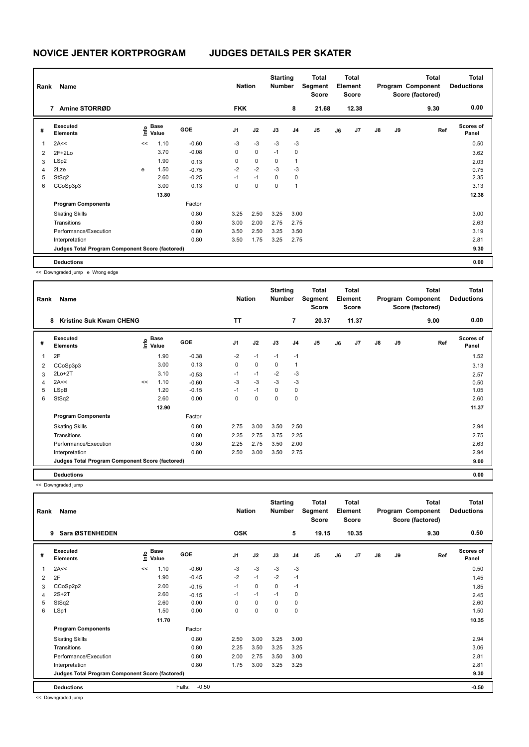|                | Name<br>Rank<br>Amine STORRØD<br>7              |      |                      | <b>Nation</b> |                | <b>Starting</b><br><b>Number</b> |             | <b>Total</b><br>Segment<br><b>Score</b> |       | Total<br>Element<br><b>Score</b> |       |               | <b>Total</b><br>Program Component<br>Score (factored) | <b>Total</b><br><b>Deductions</b> |                           |
|----------------|-------------------------------------------------|------|----------------------|---------------|----------------|----------------------------------|-------------|-----------------------------------------|-------|----------------------------------|-------|---------------|-------------------------------------------------------|-----------------------------------|---------------------------|
|                |                                                 |      |                      |               | <b>FKK</b>     |                                  |             | 8                                       | 21.68 |                                  | 12.38 |               |                                                       | 9.30                              | 0.00                      |
| #              | Executed<br><b>Elements</b>                     | lnfo | <b>Base</b><br>Value | <b>GOE</b>    | J <sub>1</sub> | J2                               | J3          | J <sub>4</sub>                          | J5    | J6                               | J7    | $\mathsf{J}8$ | J9                                                    | Ref                               | <b>Scores of</b><br>Panel |
| 1              | 2A<<                                            | <<   | 1.10                 | $-0.60$       | $-3$           | $-3$                             | $-3$        | $-3$                                    |       |                                  |       |               |                                                       |                                   | 0.50                      |
| $\overline{2}$ | $2F+2Lo$                                        |      | 3.70                 | $-0.08$       | 0              | $\mathbf 0$                      | $-1$        | $\mathbf 0$                             |       |                                  |       |               |                                                       |                                   | 3.62                      |
| 3              | LSp2                                            |      | 1.90                 | 0.13          | 0              | 0                                | 0           | $\overline{1}$                          |       |                                  |       |               |                                                       |                                   | 2.03                      |
| 4              | 2Lze                                            | e    | 1.50                 | $-0.75$       | $-2$           | $-2$                             | $-3$        | $-3$                                    |       |                                  |       |               |                                                       |                                   | 0.75                      |
| 5              | StSq2                                           |      | 2.60                 | $-0.25$       | $-1$           | $-1$                             | $\Omega$    | $\Omega$                                |       |                                  |       |               |                                                       |                                   | 2.35                      |
| 6              | CCoSp3p3                                        |      | 3.00                 | 0.13          | 0              | 0                                | $\mathbf 0$ | $\overline{1}$                          |       |                                  |       |               |                                                       |                                   | 3.13                      |
|                |                                                 |      | 13.80                |               |                |                                  |             |                                         |       |                                  |       |               |                                                       |                                   | 12.38                     |
|                | <b>Program Components</b>                       |      |                      | Factor        |                |                                  |             |                                         |       |                                  |       |               |                                                       |                                   |                           |
|                | <b>Skating Skills</b>                           |      |                      | 0.80          | 3.25           | 2.50                             | 3.25        | 3.00                                    |       |                                  |       |               |                                                       |                                   | 3.00                      |
|                | Transitions                                     |      |                      | 0.80          | 3.00           | 2.00                             | 2.75        | 2.75                                    |       |                                  |       |               |                                                       |                                   | 2.63                      |
|                | Performance/Execution                           |      |                      | 0.80          | 3.50           | 2.50                             | 3.25        | 3.50                                    |       |                                  |       |               |                                                       |                                   | 3.19                      |
|                | Interpretation                                  |      |                      | 0.80          | 3.50           | 1.75                             | 3.25        | 2.75                                    |       |                                  |       |               |                                                       |                                   | 2.81                      |
|                | Judges Total Program Component Score (factored) |      |                      |               |                |                                  |             |                                         |       |                                  |       |               |                                                       |                                   | 9.30                      |
|                | <b>Deductions</b>                               |      |                      |               |                |                                  |             |                                         |       |                                  |       |               |                                                       |                                   | 0.00                      |

<< Downgraded jump e Wrong edge

| Rank | Name<br><b>Kristine Suk Kwam CHENG</b><br>8     |    |                                  |            |           | <b>Nation</b> | <b>Starting</b><br><b>Number</b> |                | Total<br>Segment<br><b>Score</b> |    | <b>Total</b><br>Element<br><b>Score</b> |               |    | <b>Total</b><br>Program Component<br>Score (factored) | <b>Total</b><br><b>Deductions</b> |
|------|-------------------------------------------------|----|----------------------------------|------------|-----------|---------------|----------------------------------|----------------|----------------------------------|----|-----------------------------------------|---------------|----|-------------------------------------------------------|-----------------------------------|
|      |                                                 |    |                                  |            | <b>TT</b> |               |                                  | $\overline{7}$ | 20.37                            |    | 11.37                                   |               |    | 9.00                                                  | 0.00                              |
| #    | Executed<br><b>Elements</b>                     |    | <b>Base</b><br>e Base<br>⊆ Value | <b>GOE</b> | J1        | J2            | J3                               | J <sub>4</sub> | J <sub>5</sub>                   | J6 | J <sub>7</sub>                          | $\mathsf{J}8$ | J9 | Ref                                                   | <b>Scores of</b><br>Panel         |
| 1    | 2F                                              |    | 1.90                             | $-0.38$    | $-2$      | $-1$          | $-1$                             | $-1$           |                                  |    |                                         |               |    |                                                       | 1.52                              |
| 2    | CCoSp3p3                                        |    | 3.00                             | 0.13       | 0         | $\mathbf 0$   | 0                                | $\mathbf{1}$   |                                  |    |                                         |               |    |                                                       | 3.13                              |
| 3    | $2Lo+2T$                                        |    | 3.10                             | $-0.53$    | $-1$      | $-1$          | $-2$                             | $-3$           |                                  |    |                                         |               |    |                                                       | 2.57                              |
| 4    | 2A<<                                            | << | 1.10                             | $-0.60$    | -3        | $-3$          | $-3$                             | $-3$           |                                  |    |                                         |               |    |                                                       | 0.50                              |
| 5    | LSpB                                            |    | 1.20                             | $-0.15$    | $-1$      | $-1$          | 0                                | $\mathbf 0$    |                                  |    |                                         |               |    |                                                       | 1.05                              |
| 6    | StSq2                                           |    | 2.60                             | 0.00       | 0         | 0             | 0                                | 0              |                                  |    |                                         |               |    |                                                       | 2.60                              |
|      |                                                 |    | 12.90                            |            |           |               |                                  |                |                                  |    |                                         |               |    |                                                       | 11.37                             |
|      | <b>Program Components</b>                       |    |                                  | Factor     |           |               |                                  |                |                                  |    |                                         |               |    |                                                       |                                   |
|      | <b>Skating Skills</b>                           |    |                                  | 0.80       | 2.75      | 3.00          | 3.50                             | 2.50           |                                  |    |                                         |               |    |                                                       | 2.94                              |
|      | Transitions                                     |    |                                  | 0.80       | 2.25      | 2.75          | 3.75                             | 2.25           |                                  |    |                                         |               |    |                                                       | 2.75                              |
|      | Performance/Execution                           |    |                                  | 0.80       | 2.25      | 2.75          | 3.50                             | 2.00           |                                  |    |                                         |               |    |                                                       | 2.63                              |
|      | Interpretation                                  |    |                                  | 0.80       | 2.50      | 3.00          | 3.50                             | 2.75           |                                  |    |                                         |               |    |                                                       | 2.94                              |
|      | Judges Total Program Component Score (factored) |    |                                  |            |           |               |                                  |                |                                  |    |                                         |               |    |                                                       | 9.00                              |
|      | <b>Deductions</b>                               |    |                                  |            |           |               |                                  |                |                                  |    |                                         |               |    |                                                       | 0.00                              |

<< Downgraded jump

| Rank | Name<br>Sara ØSTENHEDEN<br>9                    |      |                      |                   | <b>Nation</b>  |             | <b>Starting</b><br>Number |                | <b>Total</b><br>Segment<br><b>Score</b> |    | <b>Total</b><br>Element<br><b>Score</b> |               |    | <b>Total</b><br>Program Component<br>Score (factored) | Total<br><b>Deductions</b> |
|------|-------------------------------------------------|------|----------------------|-------------------|----------------|-------------|---------------------------|----------------|-----------------------------------------|----|-----------------------------------------|---------------|----|-------------------------------------------------------|----------------------------|
|      |                                                 |      |                      |                   | <b>OSK</b>     |             |                           | 5              | 19.15                                   |    | 10.35                                   |               |    | 9.30                                                  | 0.50                       |
| #    | Executed<br><b>Elements</b>                     | lnfo | <b>Base</b><br>Value | <b>GOE</b>        | J <sub>1</sub> | J2          | J3                        | J <sub>4</sub> | J <sub>5</sub>                          | J6 | J7                                      | $\mathsf{J}8$ | J9 | Ref                                                   | <b>Scores of</b><br>Panel  |
| 1    | 2A<<                                            | <<   | 1.10                 | $-0.60$           | $-3$           | $-3$        | $-3$                      | $-3$           |                                         |    |                                         |               |    |                                                       | 0.50                       |
| 2    | 2F                                              |      | 1.90                 | $-0.45$           | $-2$           | $-1$        | $-2$                      | $-1$           |                                         |    |                                         |               |    |                                                       | 1.45                       |
| 3    | CCoSp2p2                                        |      | 2.00                 | $-0.15$           | $-1$           | 0           | 0                         | $-1$           |                                         |    |                                         |               |    |                                                       | 1.85                       |
| 4    | $2S+2T$                                         |      | 2.60                 | $-0.15$           | $-1$           | $-1$        | $-1$                      | 0              |                                         |    |                                         |               |    |                                                       | 2.45                       |
| 5    | StSq2                                           |      | 2.60                 | 0.00              | 0              | $\mathbf 0$ | 0                         | 0              |                                         |    |                                         |               |    |                                                       | 2.60                       |
| 6    | LSp1                                            |      | 1.50                 | 0.00              | 0              | $\mathbf 0$ | 0                         | $\mathbf 0$    |                                         |    |                                         |               |    |                                                       | 1.50                       |
|      |                                                 |      | 11.70                |                   |                |             |                           |                |                                         |    |                                         |               |    |                                                       | 10.35                      |
|      | <b>Program Components</b>                       |      |                      | Factor            |                |             |                           |                |                                         |    |                                         |               |    |                                                       |                            |
|      | <b>Skating Skills</b>                           |      |                      | 0.80              | 2.50           | 3.00        | 3.25                      | 3.00           |                                         |    |                                         |               |    |                                                       | 2.94                       |
|      | Transitions                                     |      |                      | 0.80              | 2.25           | 3.50        | 3.25                      | 3.25           |                                         |    |                                         |               |    |                                                       | 3.06                       |
|      | Performance/Execution                           |      |                      | 0.80              | 2.00           | 2.75        | 3.50                      | 3.00           |                                         |    |                                         |               |    |                                                       | 2.81                       |
|      | Interpretation                                  |      |                      | 0.80              | 1.75           | 3.00        | 3.25                      | 3.25           |                                         |    |                                         |               |    |                                                       | 2.81                       |
|      | Judges Total Program Component Score (factored) |      |                      |                   |                |             |                           |                |                                         |    |                                         |               |    |                                                       | 9.30                       |
|      | <b>Deductions</b>                               |      |                      | Falls:<br>$-0.50$ |                |             |                           |                |                                         |    |                                         |               |    |                                                       | $-0.50$                    |

<< Downgraded jump